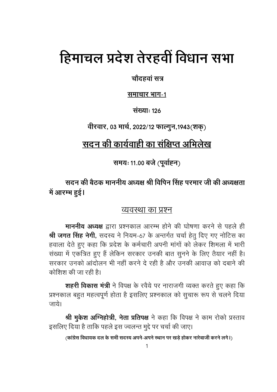# हिमाचल प्रदेश तेरहवीं विधान सभा

चौदहवां सत्र

समाचार भाग-1

संख्या: 126

वीरवार, 03 मार्च, 2022/12 फाल्गुन,1943(शक्)

# सदन की कार्यवाही का संक्षिप्त अभिलेख

समयः 11.00 बजे (पूर्वाह्न)

सदन की बैठक माननीय अध्यक्ष श्री विपिन सिंह परमार जी की अध्यक्षता में आरम्भ हुई।

# व्यवस्था का प्रश्न

माननीय अध्यक्ष द्वारा प्रश्नकाल आरम्भ होने की घोषणा करने से पहले ही श्री जगत सिंह नेगी, सदस्य ने नियम-67 के अन्तर्गत चर्चा हेतु दिए गए नोटिस का हवाला देते हुए कहा कि प्रदेश के कर्मचारी अपनी मांगों को लेकर शिमला में भारी संख्या में एकत्रित हुए हैं लेकिन सरकार उनकी बात सूनने के लिए तैयार नहीं है। सरकार उनको आंदोलन भी नहीं करने दे रही है और उनकी आवाज को दबाने की कोशिश की जा रही है।

शहरी विकास मंत्री ने विपक्ष के रवैये पर नाराजगी व्यक्त करते हुए कहा कि प्रश्नकाल बहुत महत्वपूर्ण होता है इसलिए प्रश्नकाल को सुचारू रूप से चलने दिया जाये।

श्री मुकेश अग्निहोत्री, नेता प्रतिपक्ष ने कहा कि विपक्ष ने काम रोको प्रस्ताव इसलिए दिया है ताकि पहले इस ज्वलन्त मुद्दे पर चर्चा की जाए।

(कांग्रेस विधायक दल के सभी सदस्य अपने-अपने स्थान पर खड़े होकर नारेबाजी करने लगे।)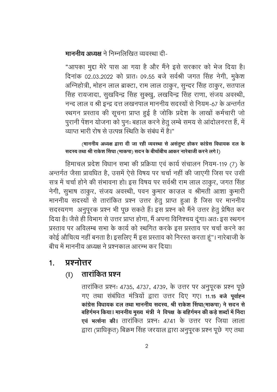माननीय अध्यक्ष ने निम्नलिखित व्यवस्था दी-

"आपका मुद्दा मेरे पास आ गया है और मैंने इसे सरकार को भेज दिया है। दिनांक 02.03.2022 को प्रातः 09.55 बजे सर्वश्री जगत सिंह नेगी, मुकेश अग्निहोत्री, मोहन लाल ब्राक्टा, राम लाल ठाकुर, सुन्दर सिंह ठाकुर, सतपाल सिंह रायजादा, सुखविन्द्र सिंह सुक्खु, लखविन्द्र सिंह राणा, संजय अवस्थी, नन्द लाल व श्री इन्द्र दत्त लखनपाल माननीय सदस्यों से नियम-67 के अन्तर्गत स्थगन प्रस्ताव की सूचना प्राप्त हुई है जोकि प्रदेश के लाखों कर्मचारी जो पुरानी पेंशन योजना को पुनः बहाल करने हेतु लम्बे समय से आंदोलनरत्त हैं, में व्याप्त भारी रोष से उत्पन्न स्थिति के संबंध में है।"

### (माननीय अध्यक्ष द्वारा दी जा रही व्यवस्था से असंतुष्ट होकर कांग्रेस विधायक दल के सदस्य तथा श्री राकेश सिंघा (माकपा) सदन के बीचोंबीच आकर नारेबाजी करने लगे l)

हिमाचल प्रदेश विधान सभा की प्रक्रिया एवं कार्य संचालन नियम-119 (7) के अन्तर्गत जैसा प्रावधित है, उसमें ऐसे विषय पर चर्चा नहीं की जाएगी जिस पर उसी सत्र में चर्चा होने की संभावना हो। इस विषय पर सर्वश्री राम लाल ठाकुर, जगत सिंह नेगी, सुभाष ठाकुर, संजय अवस्थी, पवन कुमार काज़ल व श्रीमती आशा कुमारी माननीय सदस्यों से तारांकित प्रश्न उत्तर हेतु प्राप्त हुआ है जिस पर माननीय सदस्यगण अनुपूरक प्रश्न भी पूछ सकते हैं। इस प्रश्न को मैंने उत्तर हेतु प्रेषित कर दिया है। जैसे ही विभाग से उत्तर प्राप्त होगा, मैं अपना विनिश्चय दूंगा। अतः इस स्थगन प्रस्ताव पर अविलम्ब सभा के कार्य को स्थगित करके इस प्रस्ताव पर चर्चा करने का कोई औचित्य नहीं बनता है। इसलिए मैं इस प्रस्ताव को निरस्त करता हूं"। नारेबाजी के बीच में माननीय अध्यक्ष ने प्रश्नकाल आरम्भ कर दिया।

#### प्रश्नोत्तर  $1<sub>1</sub>$

#### तारांकित प्रश्न  $(1)$

तारांकित प्रश्नः 4735, 4737, 4739, के उत्तर पर अनुपूरक प्रश्न पूछे गए तथा संबंधित मंत्रियों द्वारा उत्तर दिए गए। 11.15 बजे पूर्वाह्न कांग्रेस विधायक दल तथा माननीय सदस्य. श्री राकेश सिंघा(माकपा) ने सदन से बहिर्गमन किया। माननीय मुख्य मंत्री ने विपक्ष के बहिर्गमन की कड़े शब्दों में निंदा एवं भर्त्सना की। तारांकित प्रश्नः 4741 के उत्तर पर जिया लाला द्वारा (प्राधिकृत) बिक्रम सिंह जरयाल द्वारा अनुपूरक प्रश्न पूछे गए तथा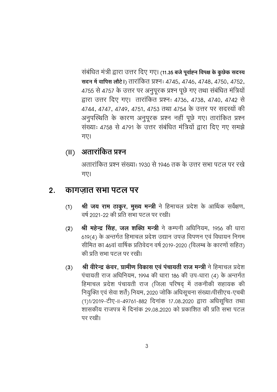संबंधित मंत्री द्वारा उत्तर दिए गए। (11.35 बजे पुर्वाह्न विपक्ष के कुछेक सदस्य सदन में वापिस लौटे।) तारांकित प्रश्नः 4745, 4746, 4748, 4750, 4752, 4755 से 4757 के उत्तर पर अनुपूरक प्रश्न पूछे गए तथा संबंधित मंत्रियों द्वारा उत्तर दिए गए। तारांकित प्रश्नः 4736, 4738, 4740, 4742 से 4744, 4747, 4749, 4751, 4753 तथा 4754 के उत्तर पर सदस्यों की अनुपस्थिति के कारण अनुपूरक प्रश्न नहीं पूछे गए। तारांकित प्रश्न संख्या: 4758 से 4791 के उत्तर संबंधित मंत्रियों द्वारा दिए गए समझे गए।

#### अतारांकित प्रश्न  $(II)$

अतारांकित प्रश्न संख्या: 1930 से 1946 तक के उत्तर सभा पटल पर रखे गए।

#### कांगज़ात सभा पटल पर  $2.$

- श्री जय राम ठाकुर, मुख्य मन्त्री ने हिमाचल प्रदेश के आर्थिक सर्वेक्षण,  $(1)$ वर्ष 2021-22 की प्रति सभा पटल पर रखी।
- श्री महेन्द्र सिंह, जल शक्ति मन्त्री ने कम्पनी अधिनियम, 1956 की धारा  $(2)$ 619(4) के अन्तर्गत हिमाचल प्रदेश उद्यान उपज विपणन एवं विधायन निगम सीमित का 46वां वार्षिक प्रतिवेदन वर्ष 2019-2020 (विलम्ब के कारणों सहित) की प्रति सभा पटल पर रखी।
- श्री वीरेन्द्र कंवर, ग्रामीण विकास एवं पंचायती राज मन्त्री ने हिमाचल प्रदेश  $(3)$ पंचायती राज अधिनियम, 1994 की धारा 186 की उप-धारा (4) के अन्तर्गत हिमाचल प्रदेश पंचायती राज (जिला परिषद में तकनीकी सहायक की नियुक्ति एवं सेवा शर्तें) नियम, 2020 जोकि अधिसूचना संख्याःपीसीएच-एचबी (1)1/2019-टीए-II-49761-882 दिनांक 17.08.2020 द्वारा अधिसूचित तथा शासकीय राजपत्र में दिनांक २९.०८.२०२० को प्रकाशित की प्रति सभा पटल पर रखी।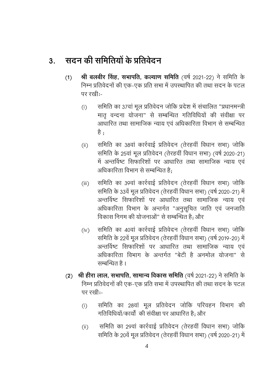#### सदन की समितियों के प्रतिवेदन  $3.$

- श्री बलबीर सिंह, सभापति, कल्याण समिति (वर्ष 2021-22) ने समिति के  $(1)$ निम्न प्रतिवेदनों की एक-एक प्रति सभा में उपस्थापित की तथा सदन के पटल पर रखीः-
	- समिति का 37वां मूल प्रतिवेदन जोकि प्रदेश में संचालित "प्रधानमन्त्री  $(i)$ मात वन्दना योजना" से सम्बन्धित गतिविधियों की संवीक्षा पर आधारित तथा सामाजिक न्याय एवं अधिकारिता विभाग से सम्बन्धित है ;
	- समिति का 38वां कार्रवाई प्रतिवेदन (तेरहवीं विधान सभा) जोकि  $(ii)$ समिति के 25वां मूल प्रतिवेदन (तेरहवीं विधान सभा) (वर्ष 2020-21) में अन्तर्विष्ट सिफारिशों पर आधारित तथा सामाजिक न्याय एवं अधिकारिता विभाग से सम्बन्धित है:
	- समिति का 39वां कार्रवाई प्रतिवेदन (तेरहवीं विधान सभा) जोकि  $(iii)$ समिति के 33वें मुल प्रतिवेदन (तेरहवीं विधान सभा) (वर्ष 2020-21) में अन्तर्विष्ट सिफारिशों पर आधारित तथा सामाजिक न्याय एवं अधिकारिता विभाग के अन्तर्गत "अनुसूचित जाति एवं जनजाति विकास निगम की योजनाओं" से सम्बन्धित है: और
	- समिति का 40वां कार्रवाई प्रतिवेदन (तेरहवीं विधान सभा) जोकि  $(iv)$ समिति के 22वें मूल प्रतिवेदन (तेरहवीं विधान सभा) (वर्ष 2019-20) में अन्तर्विष्ट सिफारिशों पर आधारित तथा सामाजिक न्याय एवं अधिकारिता विभाग के अन्तर्गत "बेटी है अनमोल योजना" से सम्बन्धित है ।
- (2) श्री हीरा लाल, सभापति, सामान्य विकास समिति (वर्ष 2021-22) ने समिति के निम्न प्रतिवेदनों की एक-एक प्रति सभा में उपस्थापित की तथा सदन के पटल पर रखी:-
	- समिति का 28वां मूल प्रतिवेदन जोकि परिवहन विभाग की  $(i)$ गतिविधियों/कार्यों की संवीक्षा पर आधारित है: और
	- समिति का 29वां कार्रवाई प्रतिवेदन (तेरहवीं विधान सभा) जोकि  $(ii)$ समिति के 20वें मूल प्रतिवेदन (तेरहवीं विधान सभा) (वर्ष 2020-21) में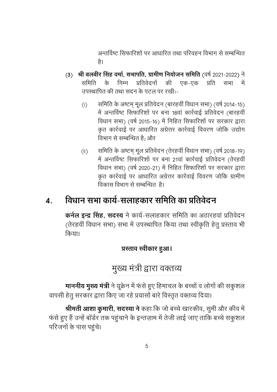अन्तर्विष्ट सिफारिशों पर आधारित तथा परिवहन विभाग से सम्बन्धित है।

- $(3)$  श्री बलबीर सिंह वर्मा, सभापति, ग्रामीण नियोजन समिति (वर्ष 2021-2022) ने समिति के निम्न प्रतिवेदनों की प्रति सभा में एक-एक उपस्थापित की तथा सदन के पटल पर रखी:-
	- समिति के अष्टम मूल प्रतिवेदन (बारहवीं विधान सभा) (वर्ष 2014-15)  $(i)$ में अन्तर्विष्ट सिफारिशों पर बना 18वां कार्रवाई प्रतिवेदन (बारहवीं विधान सभा) (वर्ष 2015-16) में निहित सिफारिशों पर सरकार द्वारा कृत कार्रवाई पर आधारित अंग्रेत्तर कार्रवाई विवरण जोकि उद्योग विभाग से सम्बन्धित है: और
	- समिति के अष्टम् मूल प्रतिवेदन (तेरहवीं विधान सभा) (वर्ष 2018-19)  $(ii)$ में अन्तर्विष्ट सिफारिशों पर बना 21वां कार्रवाई प्रतिवेदन (तेरहवीं विधान सभा) (वर्ष 2020-21) में निहित सिफारिशों पर सरकार द्वारा कृत कार्रवाई पर आधारित अग्रेत्तर कार्रवाई विवरण जोकि ग्रामीण विकास विभाग से सम्बन्धित है।

#### विधान सभा कार्य-सलाहकार समिति का प्रतिवेदन  $\boldsymbol{A}$ .

कर्नल इन्द्र सिंह, सदस्य ने कार्य-सलाहकार समिति का अठारहवां प्रतिवेदन (तेरहवीं विधान सभा) सभा में उपस्थापित किया तथा स्वीकृति हेतू प्रस्ताव भी किया।

# प्रस्ताव स्वीकार हुआ।

# मुख्य मंत्री द्वारा वक्तव्य

**माननीय मुख्य मंत्री** ने यूक्रेन में फंसे हुए हिमाचल के बच्चों व लोगों की सकुशल वापसी हेतु सरकार द्वारा किए जा रहे प्रयासों बारे विस्तृत वक्तव्य दिया।

श्रीमती आशा कुमारी, सदस्या ने कहा कि जो बच्चे खारकीव, सुमी और कीव में फंसे हुए हैं उन्हें बॉर्डर तक पहुंचाने के इन्तज़ाम में तेजी लाई जाए ताकि बच्चे सकुशल परिजनों के पास पहुंचे।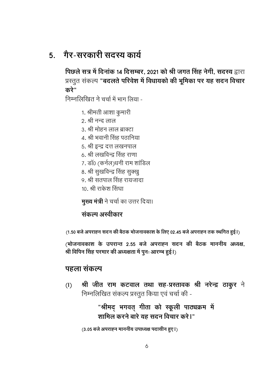# <u>5 मौर-सरकारी सदस्य कार्य</u>

पिछले सत्र में दिनांक 14 दिसम्बर, 2021 को श्री जगत सिंह नेगी, सदस्य द्वारा प्रस्तुत संकल्प "**बदलते परिवेश में विधायको की भूमिका पर यह सदन विचार** करे"

निम्नलिखित ने चर्चा में भाग लिया -

- 1. श्रीमती आशा कुमारी
- 2. श्री नन्द लाल
- 3. श्री मोहन लाल ब्राक्टा
- 4. श्री भवानी सिंह पठानिया
- 5. श्री इन्द्र दत्त लखनपाल
- 6. श्री लखविन्द्र सिंह राणा
- 7. डॉ0 (कर्नल)धनी राम शांडिल
- 8. श्री सुखविन्द्र सिंह सुक्खु
- 9. श्री सतपाल सिंह रायजादा
- 10. श्री राकेश सिंघा

मुख्य मंत्री ने चर्चा का उत्तर दिया।

### संकल्प अस्वीकार

(1.50 बजे अपराह्न सदन की बैठक भोजनावकाश के लिए 02.45 बजे अपराह्न तक स्थगित हुई।)

(भोजनावकाश के उपरान्त 2.55 बजे अपराह्न सदन की बैठक माननीय अध्यक्ष, श्री विपिन सिंह परमार की अध्यक्षता में पुनः आरम्भ हुई।)

## पहला संकल्प

श्री जीत राम कटवाल तथा सह-प्रस्तावक श्री नरेन्द्र ठाकुर ने  $(1)$ निम्नलिखित संकल्प प्रस्तुत किया एवं चर्चा की -

> "श्रीमद् भगवत् गीता को स्कूली पाठ्यक्रम में शामिल करने बारे यह सदन विचार करे।"

(3.05 बजे अपराह्न माननीय उपाध्यक्ष पदासीन हुए।)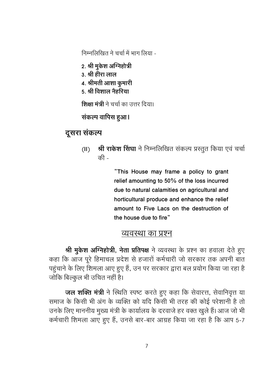निम्नलिखित ने चर्चा में भाग लिया -

- 2. श्री मुकेश अग्निहोत्री
- 3. श्री हीरा लाल
- 4. श्रीमती आशा कुमारी
- 5. श्री विशाल नैहरिया

**शिक्षा मंत्री** ने चर्चा का उत्तर दिया।

संकल्प वापिस हुआ।

# दूसरा संकल्प

- **श्री राकेश सिंघा** ने निम्नलिखित संकल्प प्रस्तुत किया एवं चर्चा  $(II)$ की -

> "This House may frame a policy to grant relief amounting to 50% of the loss incurred due to natural calamities on agricultural and horticultural produce and enhance the relief amount to Five Lacs on the destruction of the house due to fire"

### व्यवस्था का प्रश्न

श्री मुकेश अग्निहोत्री, नेता प्रतिपक्ष ने व्यवस्था के प्रश्न का हवाला देते हुए कहा कि आज पूरे हिमाचल प्रदेश से हजारों कर्मचारी जो सरकार तक अपनी बात पहुंचाने के लिए शिमला आए हुए हैं, उन पर सरकार द्वारा बल प्रयोग किया जा रहा है जोकि बिल्कुल भी उचित नहीं है।

**जल शक्ति मंत्री** ने स्थिति स्पष्ट करते हुए कहा कि सेवारत्त, सेवानिवृत्त या समाज के किसी भी अंग के व्यक्ति को यदि किसी भी तरह की कोई परेशानी है तो उनके लिए माननीय मुख्य मंत्री के कार्यालय के दरवाजे हर वक्त खुले हैं। आज जो भी कर्मचारी शिमला आए हुए हैं, उनसे बार-बार आग्रह किया जा रहा है कि आप 5-7